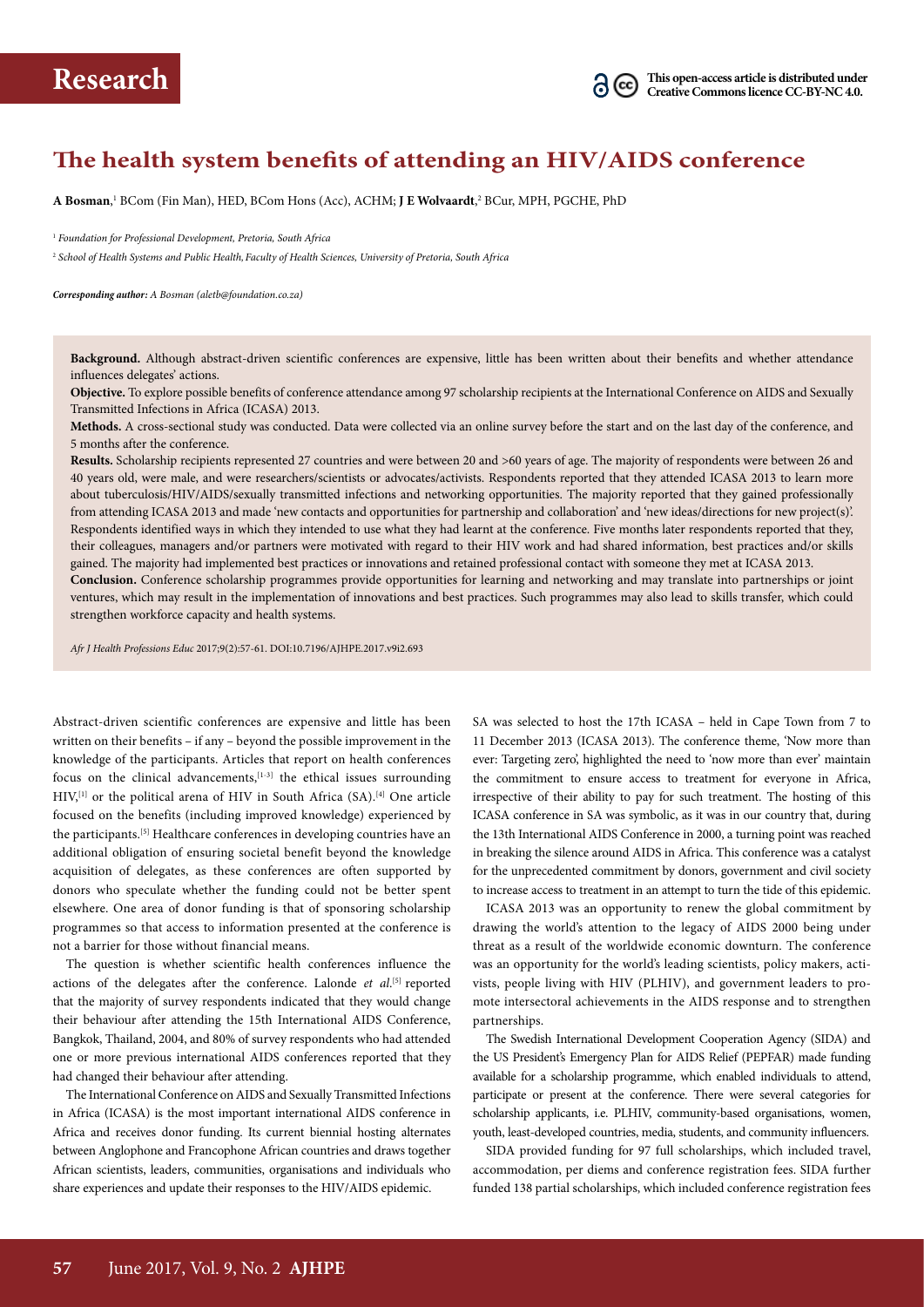

## **The health system benefits of attending an HIV/AIDS conference**

**A Bosman**, 1 BCom (Fin Man), HED, BCom Hons (Acc), ACHM; **J E Wolvaardt**, 2 BCur, MPH, PGCHE, PhD

<sup>1</sup> *Foundation for Professional Development, Pretoria, South Africa*

2  *School of Health Systems and Public Health, Faculty of Health Sciences, University of Pretoria, South Africa*

*Corresponding author: A Bosman (aletb@foundation.co.za)*

**Background.** Although abstract-driven scientific conferences are expensive, little has been written about their benefits and whether attendance influences delegates' actions.

**Objective.** To explore possible benefits of conference attendance among 97 scholarship recipients at the International Conference on AIDS and Sexually Transmitted Infections in Africa (ICASA) 2013.

**Methods.** A cross-sectional study was conducted. Data were collected via an online survey before the start and on the last day of the conference, and 5 months after the conference.

**Results.** Scholarship recipients represented 27 countries and were between 20 and >60 years of age. The majority of respondents were between 26 and 40 years old, were male, and were researchers/scientists or advocates/activists. Respondents reported that they attended ICASA 2013 to learn more about tuberculosis/HIV/AIDS/sexually transmitted infections and networking opportunities. The majority reported that they gained professionally from attending ICASA 2013 and made 'new contacts and opportunities for partnership and collaboration' and 'new ideas/directions for new project(s)'. Respondents identified ways in which they intended to use what they had learnt at the conference. Five months later respondents reported that they, their colleagues, managers and/or partners were motivated with regard to their HIV work and had shared information, best practices and/or skills gained. The majority had implemented best practices or innovations and retained professional contact with someone they met at ICASA 2013.

**Conclusion.** Conference scholarship programmes provide opportunities for learning and networking and may translate into partnerships or joint ventures, which may result in the implementation of innovations and best practices. Such programmes may also lead to skills transfer, which could strengthen workforce capacity and health systems.

*Afr J Health Professions Educ* 2017;9(2):57-61. DOI:10.7196/AJHPE.2017.v9i2.693

Abstract-driven scientific conferences are expensive and little has been written on their benefits – if any – beyond the possible improvement in the knowledge of the participants. Articles that report on health conferences focus on the clinical advancements, $[1-3]$  the ethical issues surrounding  $HIV<sub>i</sub><sup>[1]</sup>$  or the political arena of HIV in South Africa (SA).<sup>[4]</sup> One article focused on the benefits (including improved knowledge) experienced by the participants.<sup>[5]</sup> Healthcare conferences in developing countries have an additional obligation of ensuring societal benefit beyond the knowledge acquisition of delegates, as these conferences are often supported by donors who speculate whether the funding could not be better spent elsewhere. One area of donor funding is that of sponsoring scholarship programmes so that access to information presented at the conference is not a barrier for those without financial means.

The question is whether scientific health conferences influence the actions of the delegates after the conference. Lalonde et al.<sup>[5]</sup> reported that the majority of survey respondents indicated that they would change their behaviour after attending the 15th International AIDS Conference, Bangkok, Thailand, 2004, and 80% of survey respondents who had attended one or more previous international AIDS conferences reported that they had changed their behaviour after attending.

The International Conference on AIDS and Sexually Transmitted Infections in Africa (ICASA) is the most important international AIDS conference in Africa and receives donor funding. Its current biennial hosting alternates between Anglophone and Francophone African countries and draws together African scientists, leaders, communities, organisations and individuals who share experiences and update their responses to the HIV/AIDS epidemic.

SA was selected to host the 17th ICASA – held in Cape Town from 7 to 11 December 2013 (ICASA 2013). The conference theme, 'Now more than ever: Targeting zero', highlighted the need to 'now more than ever' maintain the commitment to ensure access to treatment for everyone in Africa, irrespective of their ability to pay for such treatment. The hosting of this ICASA conference in SA was symbolic, as it was in our country that, during the 13th International AIDS Conference in 2000, a turning point was reached in breaking the silence around AIDS in Africa. This conference was a catalyst for the unprecedented commitment by donors, government and civil society to increase access to treatment in an attempt to turn the tide of this epidemic.

ICASA 2013 was an opportunity to renew the global commitment by drawing the world's attention to the legacy of AIDS 2000 being under threat as a result of the worldwide economic downturn. The conference was an opportunity for the world's leading scientists, policy makers, activists, people living with HIV (PLHIV), and government leaders to promote intersectoral achievements in the AIDS response and to strengthen partnerships.

The Swedish International Development Cooperation Agency (SIDA) and the US President's Emergency Plan for AIDS Relief (PEPFAR) made funding available for a scholarship programme, which enabled individuals to attend, participate or present at the conference. There were several categories for scholarship applicants, i.e. PLHIV, community-based organisations, women, youth, least-developed countries, media, students, and community influencers.

SIDA provided funding for 97 full scholarships, which included travel, accommodation, per diems and conference registration fees. SIDA further funded 138 partial scholarships, which included conference registration fees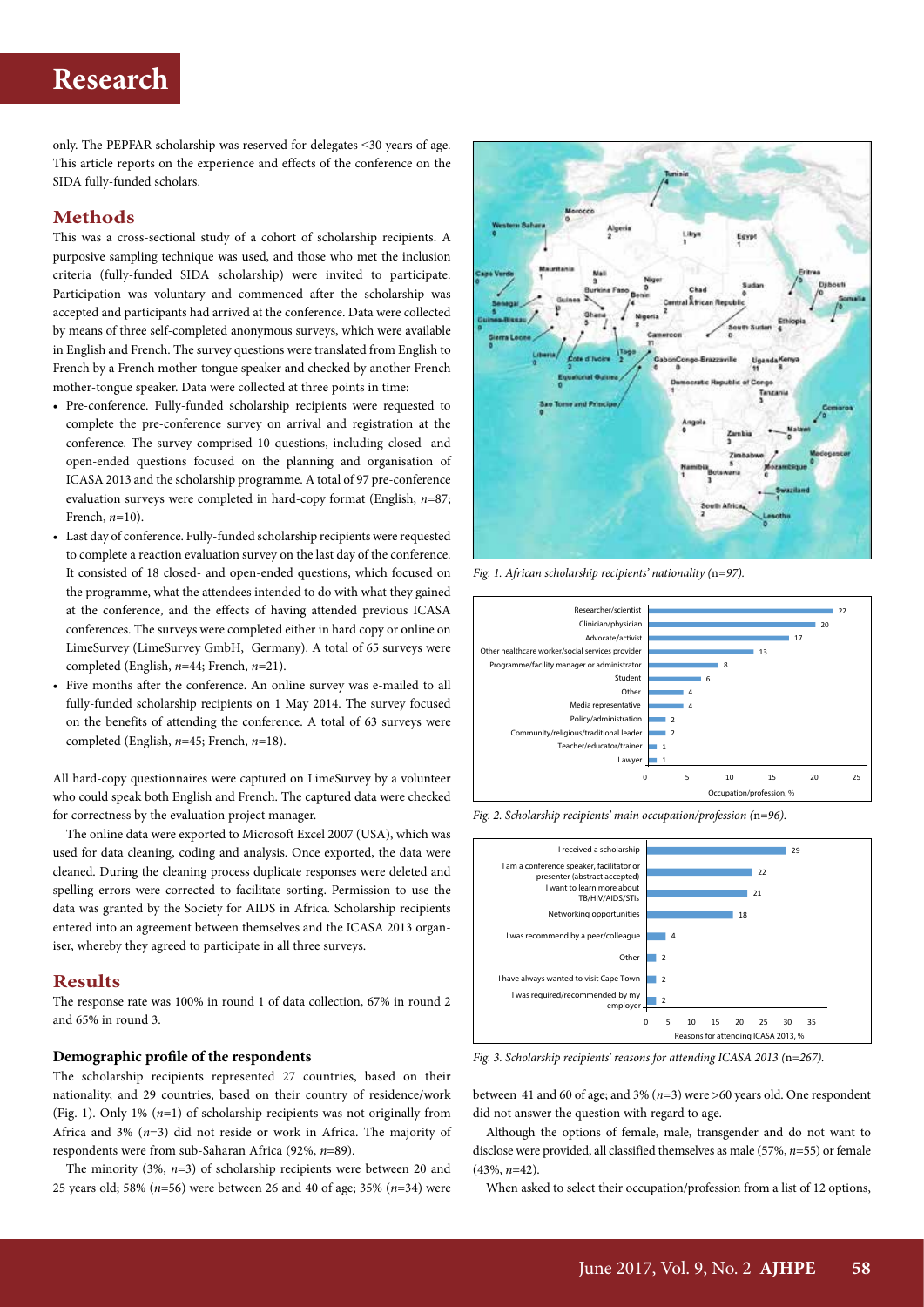# **Research**

only. The PEPFAR scholarship was reserved for delegates ˂30 years of age. This article reports on the experience and effects of the conference on the SIDA fully-funded scholars.

## **Methods**

This was a cross-sectional study of a cohort of scholarship recipients. A purposive sampling technique was used, and those who met the inclusion criteria (fully-funded SIDA scholarship) were invited to participate. Participation was voluntary and commenced after the scholarship was accepted and participants had arrived at the conference. Data were collected by means of three self-completed anonymous surveys, which were available in English and French. The survey questions were translated from English to French by a French mother-tongue speaker and checked by another French mother-tongue speaker. Data were collected at three points in time:

- Pre-conference. Fully-funded scholarship recipients were requested to complete the pre-conference survey on arrival and registration at the conference. The survey comprised 10 questions, including closed- and open-ended questions focused on the planning and organisation of ICASA 2013 and the scholarship programme. A total of 97 pre-conference evaluation surveys were completed in hard-copy format (English, *n*=87; French, *n*=10).
- Last day of conference. Fully-funded scholarship recipients were requested to complete a reaction evaluation survey on the last day of the conference. It consisted of 18 closed- and open-ended questions, which focused on the programme, what the attendees intended to do with what they gained at the conference, and the effects of having attended previous ICASA conferences. The surveys were completed either in hard copy or online on LimeSurvey (LimeSurvey GmbH, Germany). A total of 65 surveys were completed (English, *n*=44; French, *n*=21).
- Five months after the conference. An online survey was e-mailed to all fully-funded scholarship recipients on 1 May 2014. The survey focused on the benefits of attending the conference. A total of 63 surveys were completed (English, *n*=45; French, *n*=18).

All hard-copy questionnaires were captured on LimeSurvey by a volunteer who could speak both English and French. The captured data were checked for correctness by the evaluation project manager.

The online data were exported to Microsoft Excel 2007 (USA), which was used for data cleaning, coding and analysis. Once exported, the data were cleaned. During the cleaning process duplicate responses were deleted and spelling errors were corrected to facilitate sorting. Permission to use the data was granted by the Society for AIDS in Africa. Scholarship recipients entered into an agreement between themselves and the ICASA 2013 organiser, whereby they agreed to participate in all three surveys.

## **Results**

The response rate was 100% in round 1 of data collection, 67% in round 2 and 65% in round 3.

### **Demographic profile of the respondents**

The scholarship recipients represented 27 countries, based on their nationality, and 29 countries, based on their country of residence/work (Fig. 1). Only 1% (*n*=1) of scholarship recipients was not originally from Africa and 3% (*n*=3) did not reside or work in Africa. The majority of respondents were from sub-Saharan Africa (92%, *n*=89).

The minority (3%, *n*=3) of scholarship recipients were between 20 and 25 years old; 58% (*n*=56) were between 26 and 40 of age; 35% (*n*=34) were



*Fig. 1. African scholarship recipients' nationality (*n*=97).*





*Fig. 2. Scholarship recipients' main occupation/profession (*n*=96).*

*Fig. 3. Scholarship recipients' reasons for attending ICASA 2013 (*n*=267).*

between 41 and 60 of age; and 3% (*n*=3) were >60 years old. One respondent did not answer the question with regard to age.

Although the options of female, male, transgender and do not want to disclose were provided, all classified themselves as male (57%, *n*=55) or female (43%, *n*=42).

When asked to select their occupation/profession from a list of 12 options,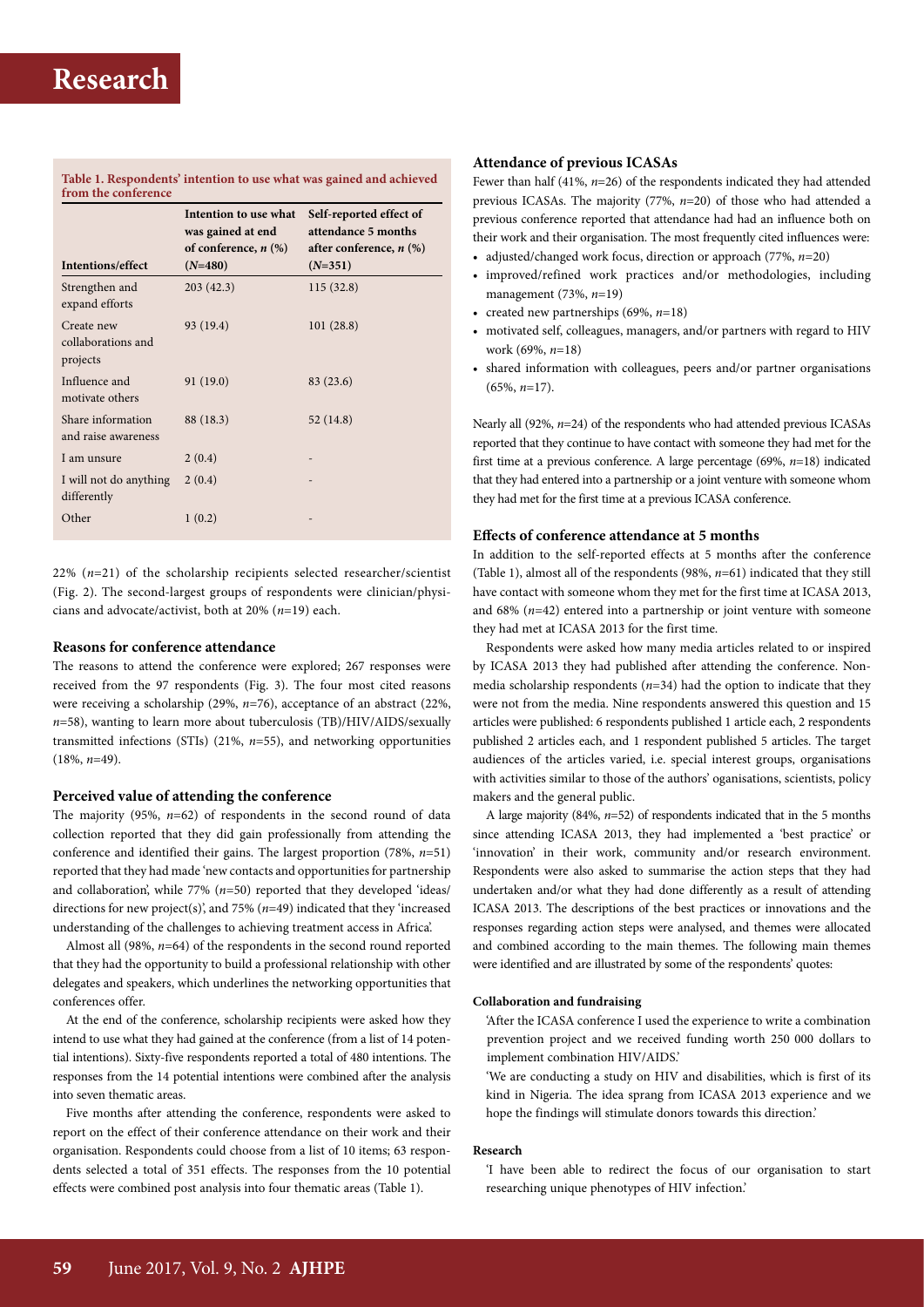#### **Table 1. Respondents' intention to use what was gained and achieved from the conference**

| Intentions/effect                            | Intention to use what<br>was gained at end<br>of conference, $n$ $(\%)$<br>$(N=480)$ | Self-reported effect of<br>attendance 5 months<br>after conference, $n$ (%)<br>$(N=351)$ |
|----------------------------------------------|--------------------------------------------------------------------------------------|------------------------------------------------------------------------------------------|
| Strengthen and<br>expand efforts             | 203(42.3)                                                                            | 115 (32.8)                                                                               |
| Create new<br>collaborations and<br>projects | 93 (19.4)                                                                            | 101(28.8)                                                                                |
| Influence and<br>motivate others             | 91 (19.0)                                                                            | 83 (23.6)                                                                                |
| Share information<br>and raise awareness     | 88 (18.3)                                                                            | 52 (14.8)                                                                                |
| I am unsure                                  | 2(0.4)                                                                               |                                                                                          |
| I will not do anything<br>differently        | 2(0.4)                                                                               |                                                                                          |
| Other                                        | 1(0.2)                                                                               |                                                                                          |

22% (*n*=21) of the scholarship recipients selected researcher/scientist (Fig. 2). The second-largest groups of respondents were clinician/physicians and advocate/activist, both at 20% (*n*=19) each.

## **Reasons for conference attendance**

The reasons to attend the conference were explored; 267 responses were received from the 97 respondents (Fig. 3). The four most cited reasons were receiving a scholarship (29%, *n*=76), acceptance of an abstract (22%, *n*=58), wanting to learn more about tuberculosis (TB)/HIV/AIDS/sexually transmitted infections (STIs) (21%, *n*=55), and networking opportunities (18%, *n*=49).

#### **Perceived value of attending the conference**

The majority (95%, *n*=62) of respondents in the second round of data collection reported that they did gain professionally from attending the conference and identified their gains. The largest proportion (78%, *n*=51) reported that they had made 'new contacts and opportunities for partnership and collaboration', while 77% (*n*=50) reported that they developed 'ideas/ directions for new project(s)', and 75% (*n*=49) indicated that they 'increased understanding of the challenges to achieving treatment access in Africa'.

Almost all (98%, *n*=64) of the respondents in the second round reported that they had the opportunity to build a professional relationship with other delegates and speakers, which underlines the networking opportunities that conferences offer.

At the end of the conference, scholarship recipients were asked how they intend to use what they had gained at the conference (from a list of 14 potential intentions). Sixty-five respondents reported a total of 480 intentions. The responses from the 14 potential intentions were combined after the analysis into seven thematic areas.

Five months after attending the conference, respondents were asked to report on the effect of their conference attendance on their work and their organisation. Respondents could choose from a list of 10 items; 63 respondents selected a total of 351 effects. The responses from the 10 potential effects were combined post analysis into four thematic areas (Table 1).

## **Attendance of previous ICASAs**

Fewer than half (41%, *n*=26) of the respondents indicated they had attended previous ICASAs. The majority (77%, *n*=20) of those who had attended a previous conference reported that attendance had had an influence both on their work and their organisation. The most frequently cited influences were:

- adjusted/changed work focus, direction or approach (77%, *n*=20)
- improved/refined work practices and/or methodologies, including management (73%, *n*=19)
- created new partnerships (69%, *n*=18)
- motivated self, colleagues, managers, and/or partners with regard to HIV work (69%, *n*=18)
- shared information with colleagues, peers and/or partner organisations (65%, *n*=17).

Nearly all (92%, *n*=24) of the respondents who had attended previous ICASAs reported that they continue to have contact with someone they had met for the first time at a previous conference. A large percentage (69%, *n*=18) indicated that they had entered into a partnership or a joint venture with someone whom they had met for the first time at a previous ICASA conference.

#### **Effects of conference attendance at 5 months**

In addition to the self-reported effects at 5 months after the conference (Table 1), almost all of the respondents (98%, *n*=61) indicated that they still have contact with someone whom they met for the first time at ICASA 2013, and 68% (*n*=42) entered into a partnership or joint venture with someone they had met at ICASA 2013 for the first time.

Respondents were asked how many media articles related to or inspired by ICASA 2013 they had published after attending the conference. Nonmedia scholarship respondents (*n*=34) had the option to indicate that they were not from the media. Nine respondents answered this question and 15 articles were published: 6 respondents published 1 article each, 2 respondents published 2 articles each, and 1 respondent published 5 articles. The target audiences of the articles varied, i.e. special interest groups, organisations with activities similar to those of the authors' oganisations, scientists, policy makers and the general public.

A large majority (84%, *n*=52) of respondents indicated that in the 5 months since attending ICASA 2013, they had implemented a 'best practice' or 'innovation' in their work, community and/or research environment. Respondents were also asked to summarise the action steps that they had undertaken and/or what they had done differently as a result of attending ICASA 2013. The descriptions of the best practices or innovations and the responses regarding action steps were analysed, and themes were allocated and combined according to the main themes. The following main themes were identified and are illustrated by some of the respondents' quotes:

#### **Collaboration and fundraising**

'After the ICASA conference I used the experience to write a combination prevention project and we received funding worth 250 000 dollars to implement combination HIV/AIDS.'

'We are conducting a study on HIV and disabilities, which is first of its kind in Nigeria. The idea sprang from ICASA 2013 experience and we hope the findings will stimulate donors towards this direction.'

#### **Research**

'I have been able to redirect the focus of our organisation to start researching unique phenotypes of HIV infection.'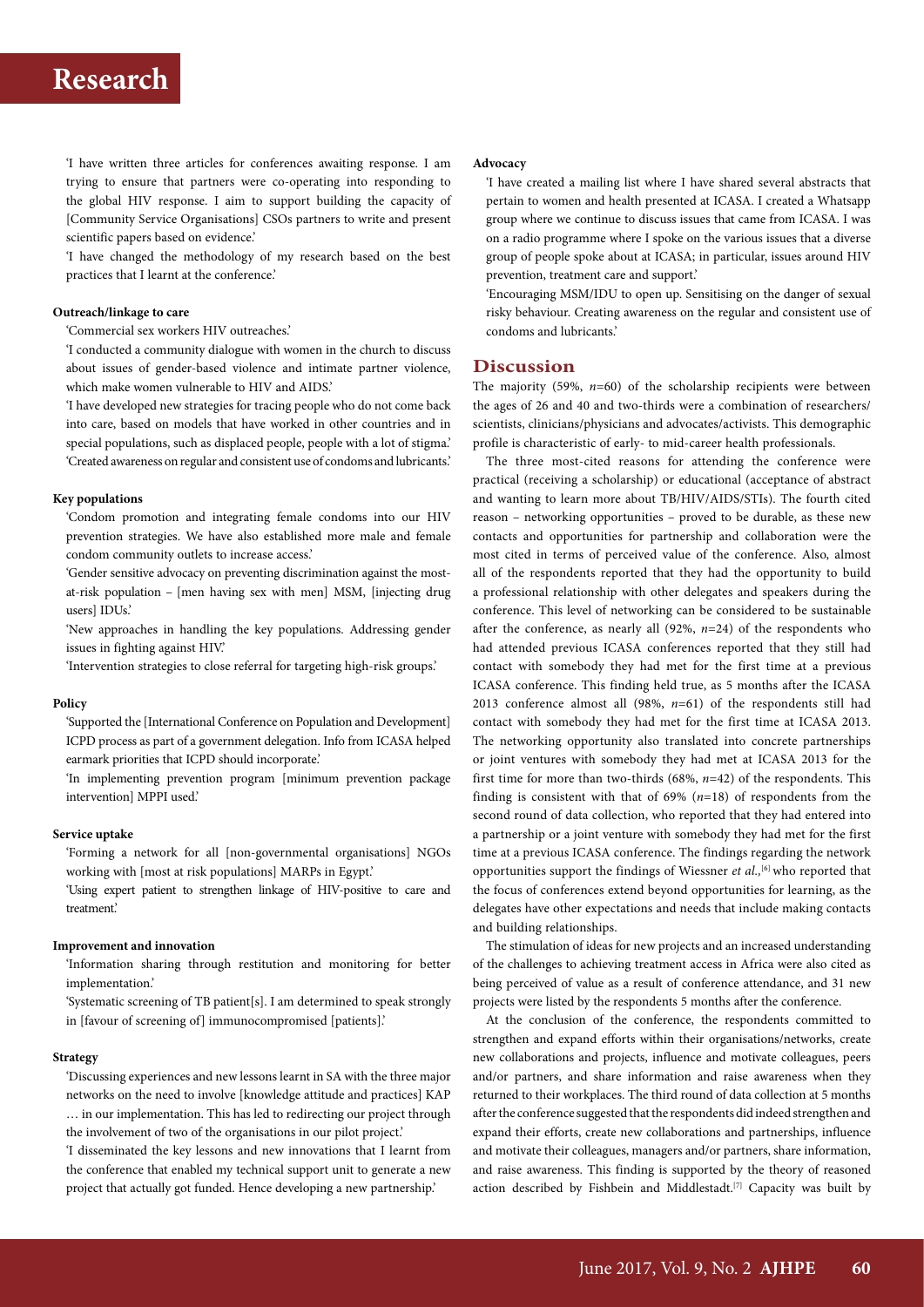## **Research**

'I have written three articles for conferences awaiting response. I am trying to ensure that partners were co-operating into responding to the global HIV response. I aim to support building the capacity of [Community Service Organisations] CSOs partners to write and present scientific papers based on evidence.'

'I have changed the methodology of my research based on the best practices that I learnt at the conference.'

#### **Outreach/linkage to care**

'Commercial sex workers HIV outreaches.'

'I conducted a community dialogue with women in the church to discuss about issues of gender-based violence and intimate partner violence, which make women vulnerable to HIV and AIDS.'

'I have developed new strategies for tracing people who do not come back into care, based on models that have worked in other countries and in special populations, such as displaced people, people with a lot of stigma.' 'Created awareness on regular and consistent use of condoms and lubricants.'

#### **Key populations**

'Condom promotion and integrating female condoms into our HIV prevention strategies. We have also established more male and female condom community outlets to increase access.'

'Gender sensitive advocacy on preventing discrimination against the mostat-risk population – [men having sex with men] MSM, [injecting drug users] IDUs.'

'New approaches in handling the key populations. Addressing gender issues in fighting against HIV.'

'Intervention strategies to close referral for targeting high-risk groups.'

#### **Policy**

'Supported the [International Conference on Population and Development] ICPD process as part of a government delegation. Info from ICASA helped earmark priorities that ICPD should incorporate.'

'In implementing prevention program [minimum prevention package intervention] MPPI used.'

### **Service uptake**

'Forming a network for all [non-governmental organisations] NGOs working with [most at risk populations] MARPs in Egypt.'

'Using expert patient to strengthen linkage of HIV-positive to care and treatment.'

#### **Improvement and innovation**

'Information sharing through restitution and monitoring for better implementation.'

'Systematic screening of TB patient[s]. I am determined to speak strongly in [favour of screening of] immunocompromised [patients].'

#### **Strategy**

'Discussing experiences and new lessons learnt in SA with the three major networks on the need to involve [knowledge attitude and practices] KAP … in our implementation. This has led to redirecting our project through the involvement of two of the organisations in our pilot project.'

'I disseminated the key lessons and new innovations that I learnt from the conference that enabled my technical support unit to generate a new project that actually got funded. Hence developing a new partnership.'

#### **Advocacy**

'I have created a mailing list where I have shared several abstracts that pertain to women and health presented at ICASA. I created a Whatsapp group where we continue to discuss issues that came from ICASA. I was on a radio programme where I spoke on the various issues that a diverse group of people spoke about at ICASA; in particular, issues around HIV prevention, treatment care and support.'

'Encouraging MSM/IDU to open up. Sensitising on the danger of sexual risky behaviour. Creating awareness on the regular and consistent use of condoms and lubricants.'

### **Discussion**

The majority (59%, *n*=60) of the scholarship recipients were between the ages of 26 and 40 and two-thirds were a combination of researchers/ scientists, clinicians/physicians and advocates/activists. This demographic profile is characteristic of early- to mid-career health professionals.

The three most-cited reasons for attending the conference were practical (receiving a scholarship) or educational (acceptance of abstract and wanting to learn more about TB/HIV/AIDS/STIs). The fourth cited reason – networking opportunities – proved to be durable, as these new contacts and opportunities for partnership and collaboration were the most cited in terms of perceived value of the conference. Also, almost all of the respondents reported that they had the opportunity to build a professional relationship with other delegates and speakers during the conference. This level of networking can be considered to be sustainable after the conference, as nearly all (92%, *n*=24) of the respondents who had attended previous ICASA conferences reported that they still had contact with somebody they had met for the first time at a previous ICASA conference. This finding held true, as 5 months after the ICASA 2013 conference almost all (98%, *n*=61) of the respondents still had contact with somebody they had met for the first time at ICASA 2013. The networking opportunity also translated into concrete partnerships or joint ventures with somebody they had met at ICASA 2013 for the first time for more than two-thirds (68%, *n*=42) of the respondents. This finding is consistent with that of 69% (*n*=18) of respondents from the second round of data collection, who reported that they had entered into a partnership or a joint venture with somebody they had met for the first time at a previous ICASA conference. The findings regarding the network opportunities support the findings of Wiessner *et al.*,<sup>[6]</sup> who reported that the focus of conferences extend beyond opportunities for learning, as the delegates have other expectations and needs that include making contacts and building relationships.

The stimulation of ideas for new projects and an increased understanding of the challenges to achieving treatment access in Africa were also cited as being perceived of value as a result of conference attendance, and 31 new projects were listed by the respondents 5 months after the conference.

At the conclusion of the conference, the respondents committed to strengthen and expand efforts within their organisations/networks, create new collaborations and projects, influence and motivate colleagues, peers and/or partners, and share information and raise awareness when they returned to their workplaces. The third round of data collection at 5 months after the conference suggested that the respondents did indeed strengthen and expand their efforts, create new collaborations and partnerships, influence and motivate their colleagues, managers and/or partners, share information, and raise awareness. This finding is supported by the theory of reasoned action described by Fishbein and Middlestadt.<sup>[7]</sup> Capacity was built by